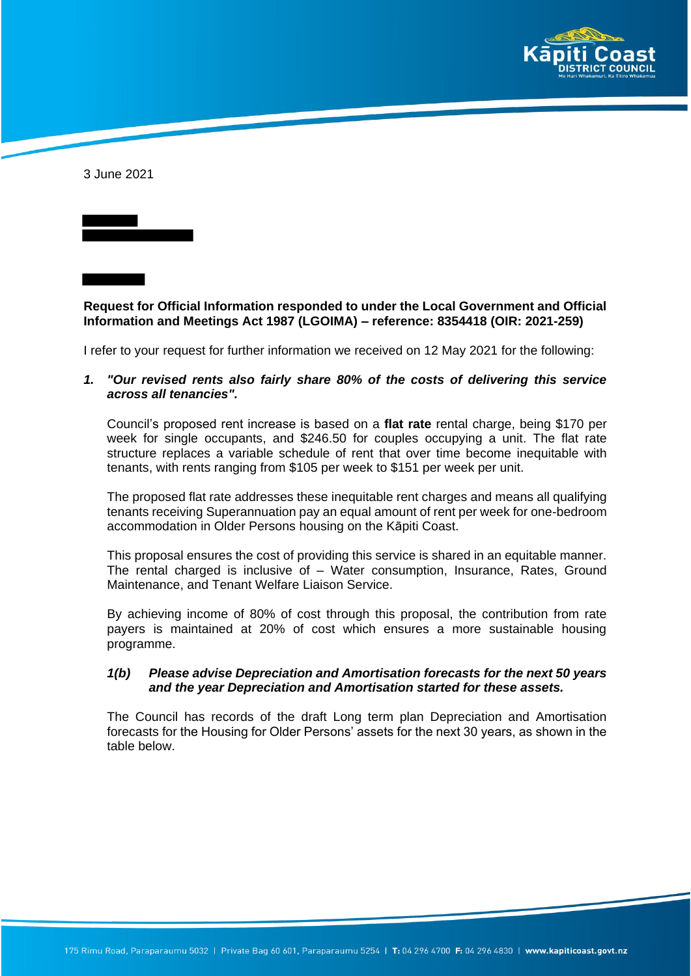

3 June 2021

**Request for Official Information responded to under the Local Government and Official Information and Meetings Act 1987 (LGOIMA) – reference: 8354418 (OIR: 2021-259)**

I refer to your request for further information we received on 12 May 2021 for the following:

*1. "Our revised rents also fairly share 80% of the costs of delivering this service across all tenancies".* 

Council's proposed rent increase is based on a **flat rate** rental charge, being \$170 per week for single occupants, and \$246.50 for couples occupying a unit. The flat rate structure replaces a variable schedule of rent that over time become inequitable with tenants, with rents ranging from \$105 per week to \$151 per week per unit.

The proposed flat rate addresses these inequitable rent charges and means all qualifying tenants receiving Superannuation pay an equal amount of rent per week for one-bedroom accommodation in Older Persons housing on the Kāpiti Coast.

This proposal ensures the cost of providing this service is shared in an equitable manner. The rental charged is inclusive of – Water consumption, Insurance, Rates, Ground Maintenance, and Tenant Welfare Liaison Service.

By achieving income of 80% of cost through this proposal, the contribution from rate payers is maintained at 20% of cost which ensures a more sustainable housing programme.

#### *1(b) Please advise Depreciation and Amortisation forecasts for the next 50 years and the year Depreciation and Amortisation started for these assets.*

The Council has records of the draft Long term plan Depreciation and Amortisation forecasts for the Housing for Older Persons' assets for the next 30 years, as shown in the table below.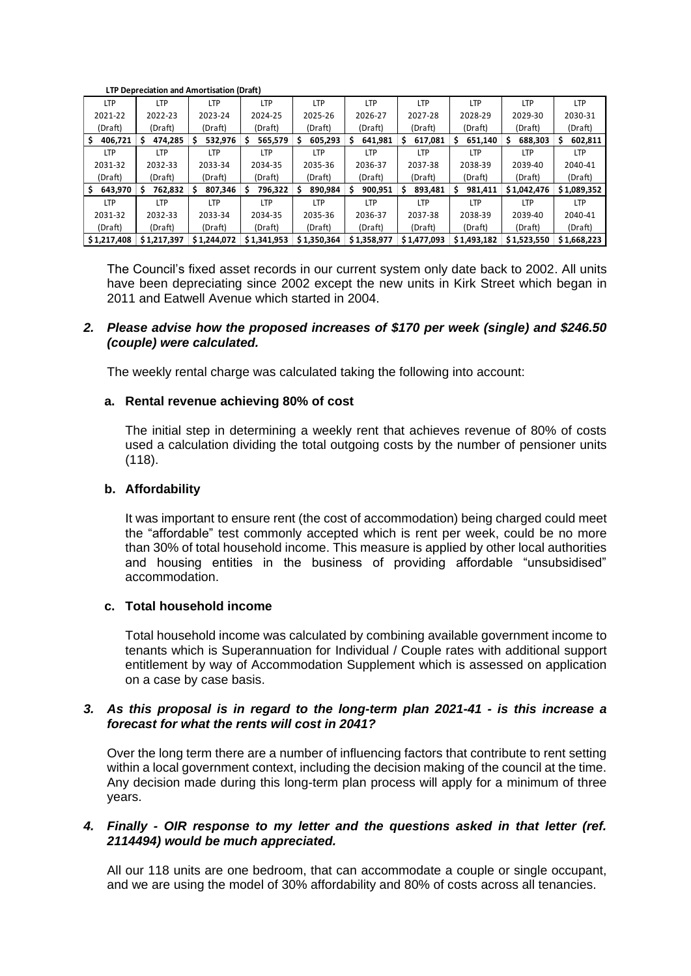| Lif Depledation and Anior (Isation (Drait) |              |              |              |              |              |             |              |             |              |
|--------------------------------------------|--------------|--------------|--------------|--------------|--------------|-------------|--------------|-------------|--------------|
| LTP                                        | <b>LTP</b>   | <b>LTP</b>   | <b>LTP</b>   | <b>LTP</b>   | LTP          | LTP         | <b>LTP</b>   | LTP         | LTP          |
| 2021-22                                    | 2022-23      | 2023-24      | 2024-25      | 2025-26      | 2026-27      | 2027-28     | 2028-29      | 2029-30     | 2030-31      |
| (Draft)                                    | (Draft)      | (Draft)      | (Draft)      | (Draft)      | (Draft)      | (Draft)     | (Draft)      | (Draft)     | (Draft)      |
| 406.721                                    | 474,285<br>S | 532,976      | 565,579<br>s | 605,293<br>s | 641,981<br>S | 617,081     | 651,140<br>s | 688,303     | 602,811<br>s |
| <b>LTP</b>                                 | <b>LTP</b>   | <b>LTP</b>   | LTP          | <b>LTP</b>   | <b>LTP</b>   | LTP         | <b>LTP</b>   | <b>LTP</b>  | <b>LTP</b>   |
| 2031-32                                    | 2032-33      | 2033-34      | 2034-35      | 2035-36      | 2036-37      | 2037-38     | 2038-39      | 2039-40     | 2040-41      |
| (Draft)                                    | (Draft)      | (Draft)      | (Draft)      | (Draft)      | (Draft)      | (Draft)     | (Draft)      | (Draft)     | (Draft)      |
| 643,970                                    | 762,832<br>S | 807,346<br>S | 796,322<br>S | 890,984      | 900,951<br>s | 893,481     | 981,411<br>S | \$1,042,476 | \$1,089,352  |
| <b>LTP</b>                                 | <b>LTP</b>   | <b>LTP</b>   | LTP          | <b>LTP</b>   | <b>LTP</b>   | LTP         | <b>LTP</b>   | LTP         | <b>LTP</b>   |
| 2031-32                                    | 2032-33      | 2033-34      | 2034-35      | 2035-36      | 2036-37      | 2037-38     | 2038-39      | 2039-40     | 2040-41      |
| (Draft)                                    | (Draft)      | (Draft)      | (Draft)      | (Draft)      | (Draft)      | (Draft)     | (Draft)      | (Draft)     | (Draft)      |
| \$1,217,408                                | \$1,217,397  | \$1,244,072  | \$1,341,953  | \$1,350,364  | \$1,358,977  | \$1,477,093 | \$1,493,182  | \$1,523,550 | \$1,668,223  |

 **LTP Depreciation and Amortisation (Draft)**

The Council's fixed asset records in our current system only date back to 2002. All units have been depreciating since 2002 except the new units in Kirk Street which began in 2011 and Eatwell Avenue which started in 2004.

# *2. Please advise how the proposed increases of \$170 per week (single) and \$246.50 (couple) were calculated.*

The weekly rental charge was calculated taking the following into account:

## **a. Rental revenue achieving 80% of cost**

The initial step in determining a weekly rent that achieves revenue of 80% of costs used a calculation dividing the total outgoing costs by the number of pensioner units (118).

## **b. Affordability**

It was important to ensure rent (the cost of accommodation) being charged could meet the "affordable" test commonly accepted which is rent per week, could be no more than 30% of total household income. This measure is applied by other local authorities and housing entities in the business of providing affordable "unsubsidised" accommodation.

#### **c. Total household income**

Total household income was calculated by combining available government income to tenants which is Superannuation for Individual / Couple rates with additional support entitlement by way of Accommodation Supplement which is assessed on application on a case by case basis.

## *3. As this proposal is in regard to the long-term plan 2021-41 - is this increase a forecast for what the rents will cost in 2041?*

Over the long term there are a number of influencing factors that contribute to rent setting within a local government context, including the decision making of the council at the time. Any decision made during this long-term plan process will apply for a minimum of three years.

# *4. Finally - OIR response to my letter and the questions asked in that letter (ref. 2114494) would be much appreciated.*

All our 118 units are one bedroom, that can accommodate a couple or single occupant, and we are using the model of 30% affordability and 80% of costs across all tenancies.